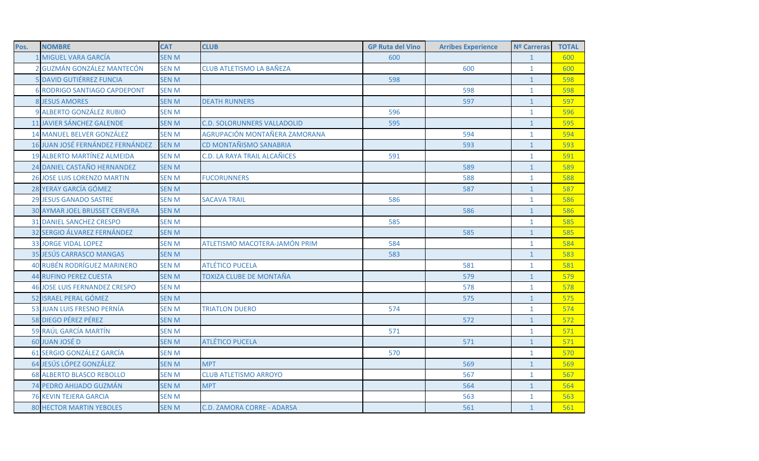| Pos. | <b>NOMBRE</b>                        | <b>CAT</b>   | <b>CLUB</b>                        | <b>GP Ruta del Vino</b> | <b>Arribes Experience</b> | <b>Nº Carreras</b> | <b>TOTAL</b> |
|------|--------------------------------------|--------------|------------------------------------|-------------------------|---------------------------|--------------------|--------------|
|      | 1 MIGUEL VARA GARCÍA                 | <b>SEN M</b> |                                    | 600                     |                           | $\mathbf{1}$       | 600          |
|      | 2 GUZMÁN GONZÁLEZ MANTECÓN           | <b>SEN M</b> | <b>CLUB ATLETISMO LA BAÑEZA</b>    |                         | 600                       | $\mathbf{1}$       | 600          |
|      | <b>5 DAVID GUTIÉRREZ FUNCIA</b>      | <b>SEN M</b> |                                    | 598                     |                           | $\mathbf{1}$       | 598          |
|      | <b>6 RODRIGO SANTIAGO CAPDEPONT</b>  | <b>SEN M</b> |                                    |                         | 598                       | $\mathbf{1}$       | 598          |
|      | <b>8 JESUS AMORES</b>                | <b>SEN M</b> | <b>DEATH RUNNERS</b>               |                         | 597                       | $\mathbf{1}$       | 597          |
|      | 9 ALBERTO GONZÁLEZ RUBIO             | <b>SEN M</b> |                                    | 596                     |                           | $\mathbf{1}$       | 596          |
|      | 11 JAVIER SÁNCHEZ GALENDE            | <b>SEN M</b> | <b>C.D. SOLORUNNERS VALLADOLID</b> | 595                     |                           | $\mathbf{1}$       | 595          |
|      | <b>14 MANUEL BELVER GONZÁLEZ</b>     | <b>SEN M</b> | AGRUPACIÓN MONTAÑERA ZAMORANA      |                         | 594                       | $\mathbf{1}$       | 594          |
|      | 16 JUAN JOSÉ FERNÁNDEZ FERNÁNDEZ     | <b>SEN M</b> | CD MONTAÑISMO SANABRIA             |                         | 593                       | $\mathbf{1}$       | 593          |
|      | <b>19 ALBERTO MARTÍNEZ ALMEIDA</b>   | <b>SEN M</b> | C.D. LA RAYA TRAIL ALCAÑICES       | 591                     |                           | $\mathbf{1}$       | 591          |
|      | 24 DANIEL CASTAÑO HERNANDEZ          | <b>SEN M</b> |                                    |                         | 589                       | $\mathbf{1}$       | 589          |
|      | <b>26 JOSE LUIS LORENZO MARTIN</b>   | <b>SEN M</b> | <b>FUCORUNNERS</b>                 |                         | 588                       | $\mathbf{1}$       | 588          |
|      | 28 YERAY GARCÍA GÓMEZ                | <b>SEN M</b> |                                    |                         | 587                       | $\mathbf{1}$       | 587          |
|      | <b>29 JESUS GANADO SASTRE</b>        | <b>SEN M</b> | <b>SACAVA TRAIL</b>                | 586                     |                           | $\mathbf{1}$       | 586          |
|      | <b>30 AYMAR JOEL BRUSSET CERVERA</b> | <b>SEN M</b> |                                    |                         | 586                       | $\mathbf{1}$       | 586          |
|      | <b>31 DANIEL SANCHEZ CRESPO</b>      | <b>SEN M</b> |                                    | 585                     |                           | $\mathbf{1}$       | 585          |
|      | 32 SERGIO ÁLVAREZ FERNÁNDEZ          | <b>SEN M</b> |                                    |                         | 585                       | $\mathbf{1}$       | 585          |
|      | <b>33 JORGE VIDAL LOPEZ</b>          | <b>SEN M</b> | ATLETISMO MACOTERA-JAMÓN PRIM      | 584                     |                           | $\mathbf{1}$       | 584          |
|      | 35 JESÚS CARRASCO MANGAS             | <b>SEN M</b> |                                    | 583                     |                           | $\mathbf{1}$       | 583          |
|      | <b>40 RUBÉN RODRÍGUEZ MARINERO</b>   | <b>SEN M</b> | <b>ATLÉTICO PUCELA</b>             |                         | 581                       | $\mathbf{1}$       | 581          |
|      | <b>44 RUFINO PEREZ CUESTA</b>        | <b>SEN M</b> | TOXIZA CLUBE DE MONTAÑA            |                         | 579                       | $\mathbf{1}$       | 579          |
|      | <b>46 JOSE LUIS FERNANDEZ CRESPO</b> | <b>SEN M</b> |                                    |                         | 578                       | $\mathbf{1}$       | 578          |
|      | 52 ISRAEL PERAL GÓMEZ                | <b>SENM</b>  |                                    |                         | 575                       | $\mathbf{1}$       | 575          |
|      | 53 JUAN LUIS FRESNO PERNÍA           | <b>SEN M</b> | <b>TRIATLON DUERO</b>              | 574                     |                           | $\mathbf{1}$       | 574          |
|      | 58 DIEGO PÉREZ PÉREZ                 | <b>SEN M</b> |                                    |                         | 572                       | $\mathbf{1}$       | 572          |
|      | 59 RAÚL GARCÍA MARTÍN                | <b>SEN M</b> |                                    | 571                     |                           | $\mathbf{1}$       | 571          |
|      | 60 JUAN JOSÉ D                       | <b>SEN M</b> | <b>ATLÉTICO PUCELA</b>             |                         | 571                       | $\mathbf{1}$       | 571          |
|      | 61 SERGIO GONZÁLEZ GARCÍA            | <b>SEN M</b> |                                    | 570                     |                           | $\mathbf{1}$       | 570          |
|      | 64 JESÚS LÓPEZ GONZÁLEZ              | <b>SEN M</b> | <b>MPT</b>                         |                         | 569                       | $\overline{1}$     | 569          |
|      | <b>68 ALBERTO BLASCO REBOLLO</b>     | <b>SEN M</b> | <b>CLUB ATLETISMO ARROYO</b>       |                         | 567                       | $\mathbf{1}$       | 567          |
|      | 74 PEDRO AHIJADO GUZMÁN              | <b>SEN M</b> | <b>MPT</b>                         |                         | 564                       | $\mathbf{1}$       | 564          |
|      | <b>76 KEVIN TEJERA GARCIA</b>        | <b>SEN M</b> |                                    |                         | 563                       | $\mathbf{1}$       | 563          |
|      | <b>80 HECTOR MARTIN YEBOLES</b>      | <b>SEN M</b> | <b>C.D. ZAMORA CORRE - ADARSA</b>  |                         | 561                       | $\mathbf{1}$       | 561          |